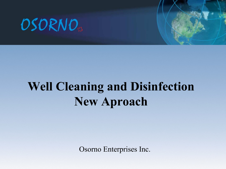

## **Well Cleaning and Disinfection New Aproach**

Osorno Enterprises Inc.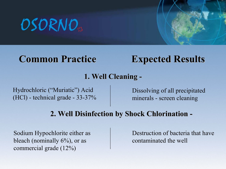## **Common Practice Expected Results**

#### **1. Well Cleaning -**

Hydrochloric ("Muriatic") Acid (HCl) - technical grade - 33-37%

Dissolving of all precipitated minerals - screen cleaning

#### **2. Well Disinfection by Shock Chlorination -**

Sodium Hypochlorite either as bleach (nominally  $6\%$ ), or as commercial grade (12%)

Destruction of bacteria that have contaminated the well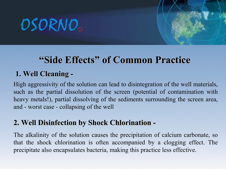## **"Side Effects" of Common Practice**

### **1. Well Cleaning -**

High aggressivity of the solution can lead to disintegration of the well materials, such as the partial dissolution of the screen (potential of contamination with heavy metals!), partial dissolving of the sediments surrounding the screen area, and - worst case - collapsing of the well

#### **2. Well Disinfection by Shock Chlorination -**

The alkalinity of the solution causes the precipitation of calcium carbonate, so that the shock chlorination is often accompanied by a clogging effect. The precipitate also encapsulates bacteria, making this practice less effective.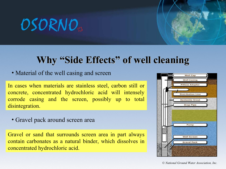## **Why "Side Effects" of well cleaning**

#### • Material of the well casing and screen

In cases when materials are stainless steel, carbon still or concrete, concentrated hydrochloric acid will intensely corrode casing and the screen, possibly up to total disintegration.

• Gravel pack around screen area

Gravel or sand that surrounds screen area in part always contain carbonates as a natural binder, which dissolves in concentrated hydrochloric acid.

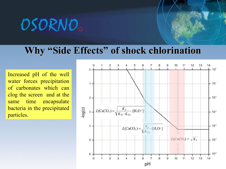OSORNO<sub>®</sub>

### **Why "Side Effects" of shock chlorination**

Increased pH of the well water forces precipitation of carbonates which can clog the screen and at the same time encapsulate bacteria in the precipitated particles.

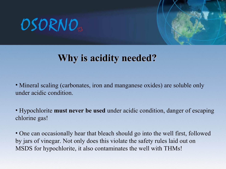

## **Why is acidity needed?**

• Mineral scaling (carbonates, iron and manganese oxides) are soluble only under acidic condition.

• Hypochlorite **must never be used** under acidic condition, danger of escaping chlorine gas!

• One can occasionally hear that bleach should go into the well first, followed by jars of vinegar. Not only does this violate the safety rules laid out on MSDS for hypochlorite, it also contaminates the well with THMs!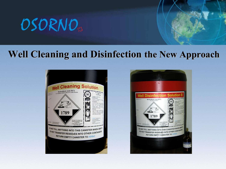

### **Well Cleaning and Disinfection the New Approach**



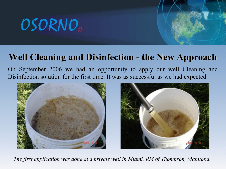## OSORNO<sub>®</sub>

## **Well Cleaning and Disinfection - the New Approach**

On September 2006 we had an opportunity to apply our well Cleaning and Disinfection solution for the first time. It was as successful as we had expected.



*The first application was done at a private well in Miami, RM of Thompson, Manitoba.*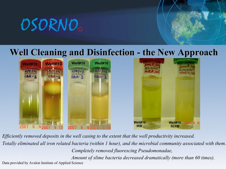

### **Well Cleaning and Disinfection - the New Approach**



*Efficiently removed deposits in the well casing to the extent that the well productivity increased. Totally eliminated all iron related bacteria (within 1 hour), and the microbial community associated with them. Completely removed fluorescing Pseudomonadae, Amount of slime bacteria decreased dramatically (more than 60 times).* Data provided by Avalon Institute of Applied Science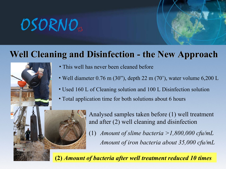## **Well Cleaning and Disinfection - the New Approach**



- This well has never been cleaned before
- Well diameter 0.76 m (30"), depth 22 m (70"), water volume 6,200 L
- Used 160 L of Cleaning solution and 100 L Disinfection solution
- Total application time for both solutions about 6 hours

Analysed samples taken before (1) well treatment and after (2) well cleaning and disinfection *Amount of slime bacteria >1,800,000 cfu/mL Amount of iron bacteria about 35,000 cfu/mL* (1)

**(2)** *Amount of bacteria after well treatment reduced 10 times*